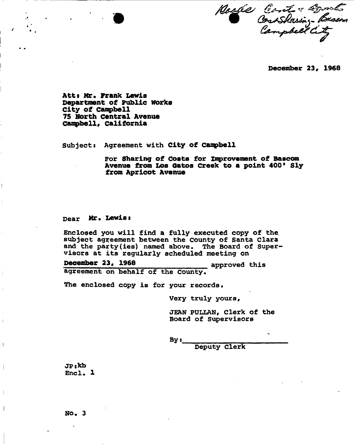Noske Constant Besson

**December 23# 1968** 

Att: Mr. Frank Lewis **Department of Public Works City of Campbell 75 North Central Avenue Campbell, California** 

Subject: Agreement with **City of Canpbell** 

For **Sharing of Costs for Improvement of Bascom Avenue from Los oatos Creek to a point 400\* Sly from Apricot Avenue** 

Dear **Mr. Lewisi** 

Enclosed you will find a fully executed copy of the. subject agreement between the County of Santa Clara and the party(ies) named above. The Board of Supervisors at its regularly scheduled meeting on

**December 23\* 1968** approved this agreement on behalf of the County.

The enclosed copy is for your records.

Very truly yours,

JEAN PULLAN, Clerk of the Board of Supervisors

 $By:$ 

Deputy Clerk

**JP:kb**   $Enc1. 1$ 

 $\mathbf{I}$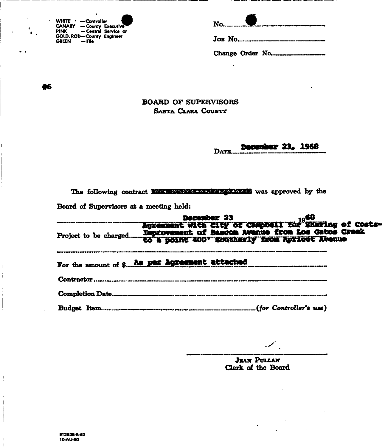| WHITE $\cdot$ - Controller<br><b>CANARY</b> - County Executive<br>PINK - Central Service or | $No$    |
|---------------------------------------------------------------------------------------------|---------|
| GOLD, ROD-County Engineer<br>GREEN $-$ File                                                 | JOB NO. |

|--|--|

Change Order No.

 $\mathcal{A}$ 

ĸ

## BOARD OF SUPERVISORS SANTA CLARA COUNT?

#### DATE. December 23, 1968

|                                         | The following contract <b>MAKING CARS CONTRACT TO WAS</b> approved by the |  |  |
|-----------------------------------------|---------------------------------------------------------------------------|--|--|
| Board of Supervisors at a meeting held: |                                                                           |  |  |

|            | For the amount of \$ As per Agreement attached |  |  |  |
|------------|------------------------------------------------|--|--|--|
| Contractor |                                                |  |  |  |
|            |                                                |  |  |  |
|            |                                                |  |  |  |

 $\mathscr{S}_\mathbb{R}$ 

**JEAN PULLAN Clerk of the Board**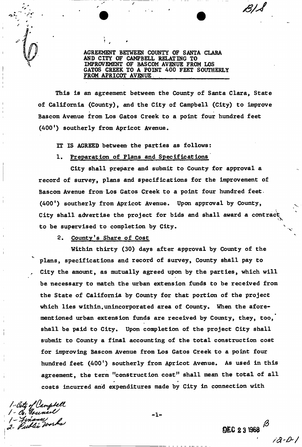AGREEMENT BETWEEN COUNTY OF SANTA CLARA AND CITY OF CAMPBELL RELATING TO IMPROVEMENT OF BASCOM AVENUE FROM LOS GATOS GREEK TO A POINT 400 FEET SOUTHERLY FROM APRICOT AVENUE

This is an agreement between the County of Santa Clara, State of California (County), and the City of Campbell (City) to improve Bascom Avenue from Los Gatos Creek to a point four hundred feet (400<sup>'</sup>) southerly from Apricot Avenue.

IT IS AGREED between the parties as follows:

#### 1, Preparation of Plans and Specifications

City shall prepare and submit to County for approval a record of survey, plans and specifications for the improvement of Bascom Avenue from Los Gatos Creek to a point four hundred feet. (400') southerly from Apricot Avenue. Upon approval by County, City shall advertise the project for bids and shall award a contract to be supervised to completion by City.

2. County's Share of Cost

Within thirty (30) days after approval by County of the plans, specifications and record of survey, County shall pay to City the amount, as mutually agreed upon by the parties, which will be necessary to match the urban extension funds to be received from the State of California by County for that portion of the project which lies within.unincorporated area of County. When the aforementioned urban extension funds are received by County, they, too, shall be paid to City. Upon completion of the project City shall submit to County a final accounting of the total construction cost for improving Bascom Avenue from Los Gatos Creek to a point four hundred feet (400') southerly from Apricot Avenue. As used in this agreement, the term "construction cost" shall mean the total of all costs incurred and expenditures made by City in connection with

costs include and expenditures made by City in connection with include by City in connection with the connection with  $\alpha$ */- Wee\*\*\*\*/* 

 $-1-$ 

DEC 2 3 1968

• */a*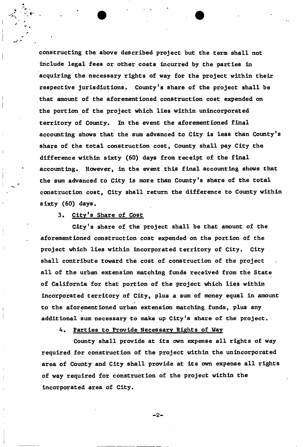constructing the above described project but the term shall not include legal fees or other costs incurred by the parties in acquiring the necessary rights of way for the project within their respective jurisdictions. County's share of the project shall be that amount of the aforementioned construction cost expended on the portion of the project which lies within unincorporated territory of County. In the event the aforementioned final accounting shows that the sum advanced to City is less than County's share of the total construction cost, County shall pay City the difference within sixty (60) days from receipt of the final accounting. However, in the event this final accounting shows that the sum advanced to City is more than County's share of the total construction cost, City shall return the difference to County within sixty (60) days.

## 3. City's Share of Cost

City's share of the project shall be that amount of the aforementioned construction cost expended on the portion of the project which lies within incorporated territory of City. City shall contribute toward the cost of construction of the project all of the urban extension matching funds received from the State of California for that portion of the project which lies within incorporated territory of City, plus a sum of money equal in amount to the aforementioned urban extension matching funds, plus any additional sum necessary to make up City's share of the project.

## 4. Parties to Provide Necessary Rights of Way

County shall provide at its own expense all rights of way required for construction of the project within the unincorporated area of County and City shall provide at its own expense all rights of way required for construction of the project within the incorporated area of City.

 $-2-$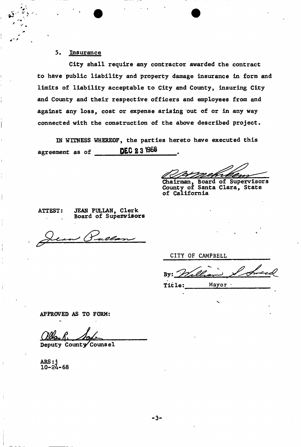## 5, Insurance

City shall require any contractor awarded the contract to have public liability and property damage insurance in form and limits of liability acceptable to City and County, insuring City and County and their respective officers and employees from and against any loss, cost or expense arising out of or in any way connected with the construction of the above described project.

IN WITNESS WHEREOF, the parties hereto have executed this agreement as of **DEC 231968** 

Chairman, Board of Supervisors County of Santa Clara, State of California

ATTEST: JEAN PULLAN, Clerk Board of Supervisors

CITY OF CAMPBELL

Title:  $M$  Mayor  $\cdot$ 

APPROVED AS TO FORM:

Deputy County Counsel

ARS: j 10-24-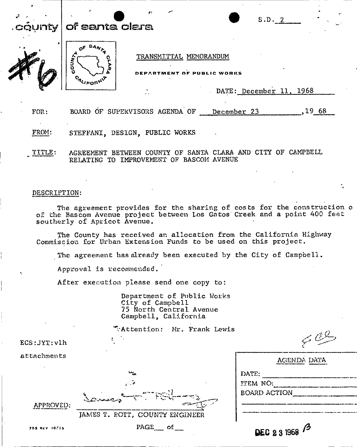# $n_{\mathbf{V}}$  of santa clara



#### TRANSMITTAL MEMORANDUM

DEPARTMENT OF PUBLIC WORKS

DATE: December 11, 1968

S.D. 2

FOR: BOARD OF SUPERVISORS AGENDA OF December 23 , 19 68

FROM: STEFFANI, DESIGN, PUBLIC WORKS

TITLE: AGREEMENT BETWEEN COUNTY OF SANTA CLARA AND CITY OF CAMPBELL RELATING TO IMPROVEMENT OF BASCOM AVENUE

#### DESCRIPTION:

The agreement provides for the sharing of costs for the construction o of the Bascom Avenue project between Los Gntos Creek and a point 400 feet southerly of Apricot Avenue.

The County has received an allocation from the California Highway Commission for Urban Extension Funds to be used on this project.

The agreement has already been executed by the City of Campbell.

Approva.l is recommended.

After execution please send one copy to:

Department of Public Works City of Campbell 75 North Central Avenue Campbell, California

|                         | Tattention: Mr. Frank Lewis    |                                   |
|-------------------------|--------------------------------|-----------------------------------|
| $\texttt{ECS:JYT:}$ vlh |                                | $\leq$ 0.                         |
| attachments             |                                | AGENDA DATA                       |
|                         | ميلية<br>الثالث<br>an a        | DATE:<br>ITEM NO:<br>BOARD ACTION |
| APPROVED:               | JAMES T. ROTT, COUNTY ENGINEER |                                   |
| 755 RCY 10/95           | $PAGE$ of                      | DEC 23 1968                       |